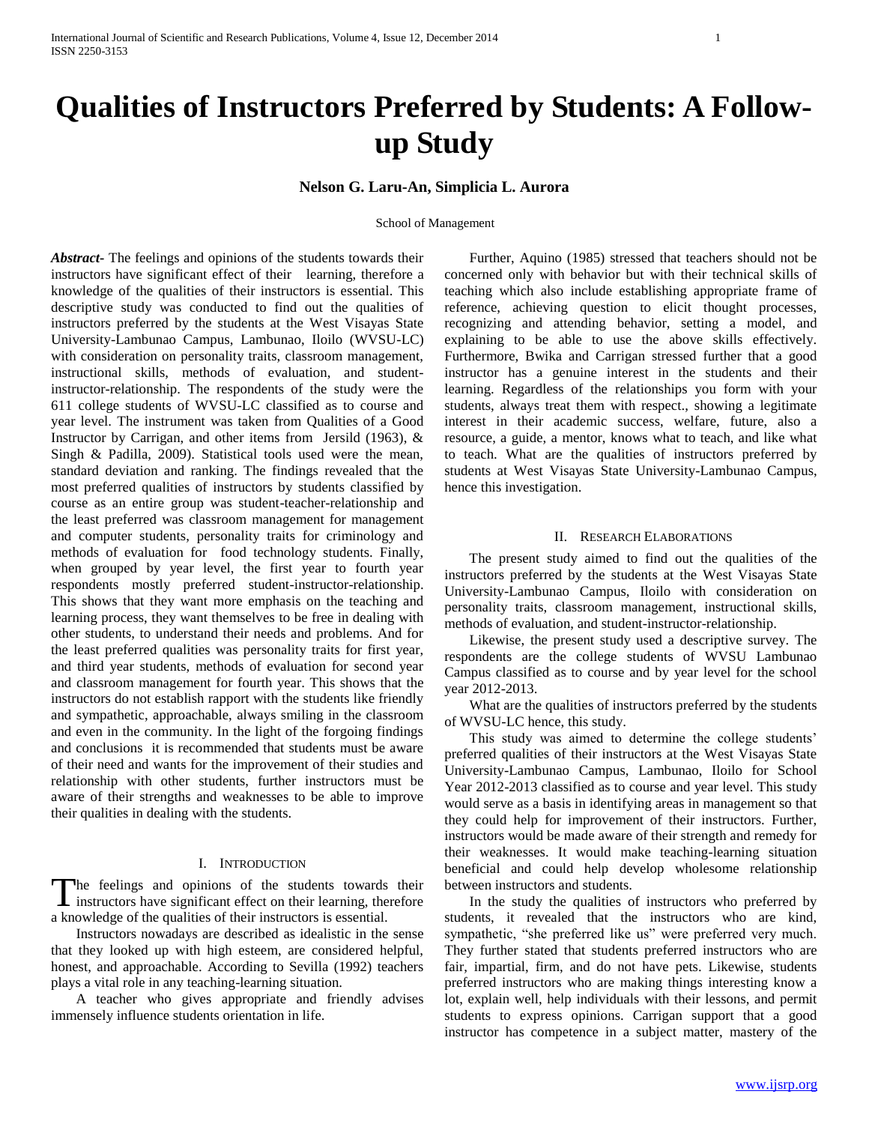# **Qualities of Instructors Preferred by Students: A Followup Study**

**Nelson G. Laru-An, Simplicia L. Aurora**

#### School of Management

*Abstract***-** The feelings and opinions of the students towards their instructors have significant effect of their learning, therefore a knowledge of the qualities of their instructors is essential. This descriptive study was conducted to find out the qualities of instructors preferred by the students at the West Visayas State University-Lambunao Campus, Lambunao, Iloilo (WVSU-LC) with consideration on personality traits, classroom management, instructional skills, methods of evaluation, and studentinstructor-relationship. The respondents of the study were the 611 college students of WVSU-LC classified as to course and year level. The instrument was taken from Qualities of a Good Instructor by Carrigan, and other items from Jersild (1963), & Singh & Padilla, 2009). Statistical tools used were the mean, standard deviation and ranking. The findings revealed that the most preferred qualities of instructors by students classified by course as an entire group was student-teacher-relationship and the least preferred was classroom management for management and computer students, personality traits for criminology and methods of evaluation for food technology students. Finally, when grouped by year level, the first year to fourth year respondents mostly preferred student-instructor-relationship. This shows that they want more emphasis on the teaching and learning process, they want themselves to be free in dealing with other students, to understand their needs and problems. And for the least preferred qualities was personality traits for first year, and third year students, methods of evaluation for second year and classroom management for fourth year. This shows that the instructors do not establish rapport with the students like friendly and sympathetic, approachable, always smiling in the classroom and even in the community. In the light of the forgoing findings and conclusions it is recommended that students must be aware of their need and wants for the improvement of their studies and relationship with other students, further instructors must be aware of their strengths and weaknesses to be able to improve their qualities in dealing with the students.

#### I. INTRODUCTION

The feelings and opinions of the students towards their The feelings and opinions of the students towards their instructors have significant effect on their learning, therefore a knowledge of the qualities of their instructors is essential.

 Instructors nowadays are described as idealistic in the sense that they looked up with high esteem, are considered helpful, honest, and approachable. According to Sevilla (1992) teachers plays a vital role in any teaching-learning situation.

 A teacher who gives appropriate and friendly advises immensely influence students orientation in life.

 Further, Aquino (1985) stressed that teachers should not be concerned only with behavior but with their technical skills of teaching which also include establishing appropriate frame of reference, achieving question to elicit thought processes, recognizing and attending behavior, setting a model, and explaining to be able to use the above skills effectively. Furthermore, Bwika and Carrigan stressed further that a good instructor has a genuine interest in the students and their learning. Regardless of the relationships you form with your students, always treat them with respect., showing a legitimate interest in their academic success, welfare, future, also a resource, a guide, a mentor, knows what to teach, and like what to teach. What are the qualities of instructors preferred by students at West Visayas State University-Lambunao Campus, hence this investigation.

## II. RESEARCH ELABORATIONS

 The present study aimed to find out the qualities of the instructors preferred by the students at the West Visayas State University-Lambunao Campus, Iloilo with consideration on personality traits, classroom management, instructional skills, methods of evaluation, and student-instructor-relationship.

 Likewise, the present study used a descriptive survey. The respondents are the college students of WVSU Lambunao Campus classified as to course and by year level for the school year 2012-2013.

 What are the qualities of instructors preferred by the students of WVSU-LC hence, this study.

 This study was aimed to determine the college students' preferred qualities of their instructors at the West Visayas State University-Lambunao Campus, Lambunao, Iloilo for School Year 2012-2013 classified as to course and year level. This study would serve as a basis in identifying areas in management so that they could help for improvement of their instructors. Further, instructors would be made aware of their strength and remedy for their weaknesses. It would make teaching-learning situation beneficial and could help develop wholesome relationship between instructors and students.

 In the study the qualities of instructors who preferred by students, it revealed that the instructors who are kind, sympathetic, "she preferred like us" were preferred very much. They further stated that students preferred instructors who are fair, impartial, firm, and do not have pets. Likewise, students preferred instructors who are making things interesting know a lot, explain well, help individuals with their lessons, and permit students to express opinions. Carrigan support that a good instructor has competence in a subject matter, mastery of the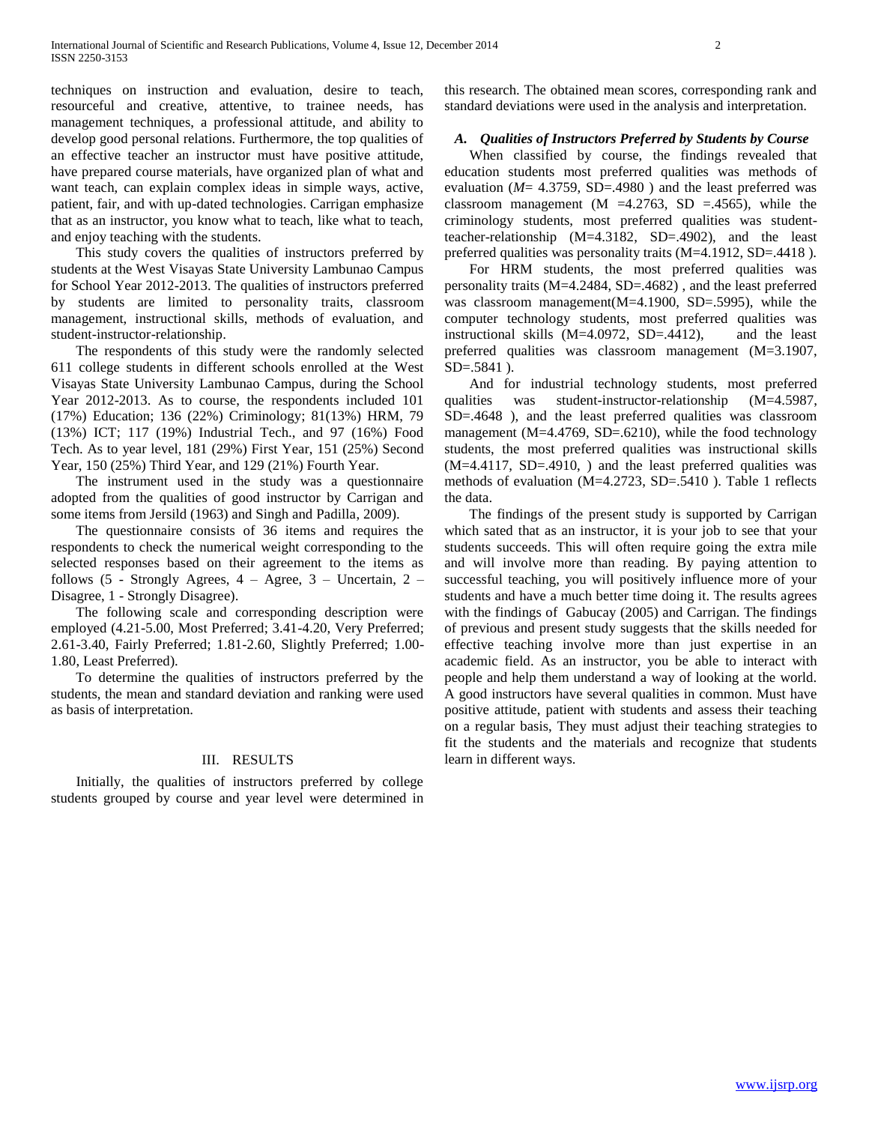techniques on instruction and evaluation, desire to teach, resourceful and creative, attentive, to trainee needs, has management techniques, a professional attitude, and ability to develop good personal relations. Furthermore, the top qualities of an effective teacher an instructor must have positive attitude, have prepared course materials, have organized plan of what and want teach, can explain complex ideas in simple ways, active, patient, fair, and with up-dated technologies. Carrigan emphasize that as an instructor, you know what to teach, like what to teach, and enjoy teaching with the students.

 This study covers the qualities of instructors preferred by students at the West Visayas State University Lambunao Campus for School Year 2012-2013. The qualities of instructors preferred by students are limited to personality traits, classroom management, instructional skills, methods of evaluation, and student-instructor-relationship.

 The respondents of this study were the randomly selected 611 college students in different schools enrolled at the West Visayas State University Lambunao Campus, during the School Year 2012-2013. As to course, the respondents included 101 (17%) Education; 136 (22%) Criminology; 81(13%) HRM, 79 (13%) ICT; 117 (19%) Industrial Tech., and 97 (16%) Food Tech. As to year level, 181 (29%) First Year, 151 (25%) Second Year, 150 (25%) Third Year, and 129 (21%) Fourth Year.

 The instrument used in the study was a questionnaire adopted from the qualities of good instructor by Carrigan and some items from Jersild (1963) and Singh and Padilla, 2009).

 The questionnaire consists of 36 items and requires the respondents to check the numerical weight corresponding to the selected responses based on their agreement to the items as follows (5 - Strongly Agrees,  $4 - \text{Agree}$ ,  $3 - \text{Uncertain}$ ,  $2 - \text{Quartain}$ Disagree, 1 - Strongly Disagree).

 The following scale and corresponding description were employed (4.21-5.00, Most Preferred; 3.41-4.20, Very Preferred; 2.61-3.40, Fairly Preferred; 1.81-2.60, Slightly Preferred; 1.00- 1.80, Least Preferred).

 To determine the qualities of instructors preferred by the students, the mean and standard deviation and ranking were used as basis of interpretation.

#### III. RESULTS

 Initially, the qualities of instructors preferred by college students grouped by course and year level were determined in

this research. The obtained mean scores, corresponding rank and standard deviations were used in the analysis and interpretation.

## *A. Qualities of Instructors Preferred by Students by Course*

 When classified by course, the findings revealed that education students most preferred qualities was methods of evaluation (*M*= 4.3759, SD=.4980 ) and the least preferred was classroom management (M =4.2763, SD =.4565), while the criminology students, most preferred qualities was studentteacher-relationship (M=4.3182, SD=.4902), and the least preferred qualities was personality traits (M=4.1912, SD=.4418 ).

 For HRM students, the most preferred qualities was personality traits (M=4.2484, SD=.4682) , and the least preferred was classroom management(M=4.1900, SD=.5995), while the computer technology students, most preferred qualities was instructional skills (M=4.0972, SD=.4412), and the least preferred qualities was classroom management (M=3.1907, SD=.5841 ).

 And for industrial technology students, most preferred qualities was student-instructor-relationship (M=4.5987, SD=.4648 ), and the least preferred qualities was classroom management (M=4.4769, SD=.6210), while the food technology students, the most preferred qualities was instructional skills  $(M=4.4117, SD=4910, )$  and the least preferred qualities was methods of evaluation (M=4.2723, SD=.5410 ). Table 1 reflects the data.

 The findings of the present study is supported by Carrigan which sated that as an instructor, it is your job to see that your students succeeds. This will often require going the extra mile and will involve more than reading. By paying attention to successful teaching, you will positively influence more of your students and have a much better time doing it. The results agrees with the findings of Gabucay (2005) and Carrigan. The findings of previous and present study suggests that the skills needed for effective teaching involve more than just expertise in an academic field. As an instructor, you be able to interact with people and help them understand a way of looking at the world. A good instructors have several qualities in common. Must have positive attitude, patient with students and assess their teaching on a regular basis, They must adjust their teaching strategies to fit the students and the materials and recognize that students learn in different ways.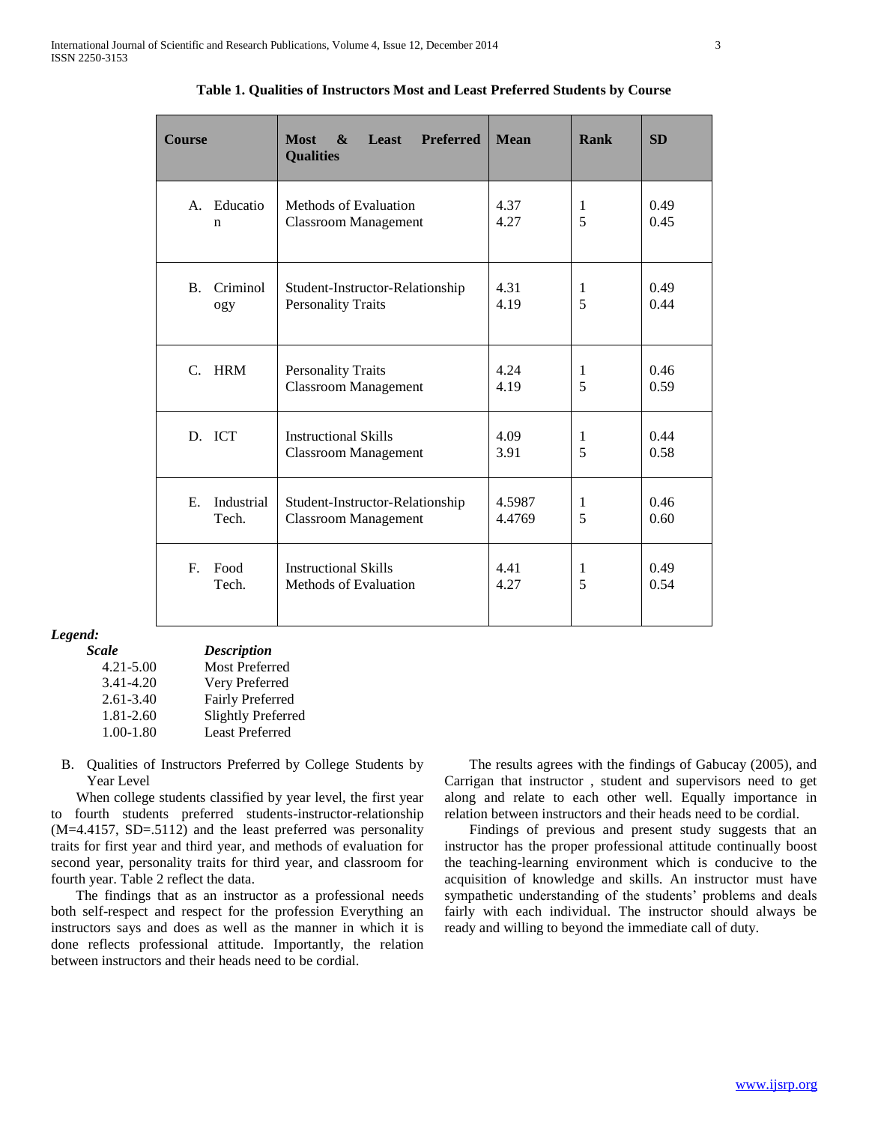| <b>Course</b>                      | <b>Most</b><br>Least<br><b>Preferred</b><br>$\mathbf{\mathbf{\&}$<br><b>Qualities</b> | <b>Mean</b>      | Rank   | <b>SD</b>    |
|------------------------------------|---------------------------------------------------------------------------------------|------------------|--------|--------------|
| A. Educatio<br>n                   | Methods of Evaluation<br><b>Classroom Management</b>                                  | 4.37<br>4.27     | 1<br>5 | 0.49<br>0.45 |
| Criminol<br><b>B.</b><br>ogy       | Student-Instructor-Relationship<br><b>Personality Traits</b>                          | 4.31<br>4.19     | 1<br>5 | 0.49<br>0.44 |
| <b>HRM</b><br>$\mathcal{C}$        | <b>Personality Traits</b><br><b>Classroom Management</b>                              | 4.24<br>4.19     | 1<br>5 | 0.46<br>0.59 |
| D. ICT                             | <b>Instructional Skills</b><br><b>Classroom Management</b>                            | 4.09<br>3.91     | 1<br>5 | 0.44<br>0.58 |
| $E_{\rm c}$<br>Industrial<br>Tech. | Student-Instructor-Relationship<br><b>Classroom Management</b>                        | 4.5987<br>4.4769 | 1<br>5 | 0.46<br>0.60 |
| $F_{\rm c}$<br>Food<br>Tech.       | <b>Instructional Skills</b><br>Methods of Evaluation                                  | 4.41<br>4.27     | 1<br>5 | 0.49<br>0.54 |

**Table 1. Qualities of Instructors Most and Least Preferred Students by Course**

# *Legend:*

| <b>Scale</b>  | <b>Description</b>        |
|---------------|---------------------------|
| $4.21 - 5.00$ | <b>Most Preferred</b>     |
| 3.41-4.20     | Very Preferred            |
| $2.61 - 3.40$ | <b>Fairly Preferred</b>   |
| $1.81 - 2.60$ | <b>Slightly Preferred</b> |
| $1.00 - 1.80$ | <b>Least Preferred</b>    |

B. Qualities of Instructors Preferred by College Students by Year Level

 When college students classified by year level, the first year to fourth students preferred students-instructor-relationship (M=4.4157, SD=.5112) and the least preferred was personality traits for first year and third year, and methods of evaluation for second year, personality traits for third year, and classroom for fourth year. Table 2 reflect the data.

 The findings that as an instructor as a professional needs both self-respect and respect for the profession Everything an instructors says and does as well as the manner in which it is done reflects professional attitude. Importantly, the relation between instructors and their heads need to be cordial.

 The results agrees with the findings of Gabucay (2005), and Carrigan that instructor , student and supervisors need to get along and relate to each other well. Equally importance in relation between instructors and their heads need to be cordial.

 Findings of previous and present study suggests that an instructor has the proper professional attitude continually boost the teaching-learning environment which is conducive to the acquisition of knowledge and skills. An instructor must have sympathetic understanding of the students' problems and deals fairly with each individual. The instructor should always be ready and willing to beyond the immediate call of duty.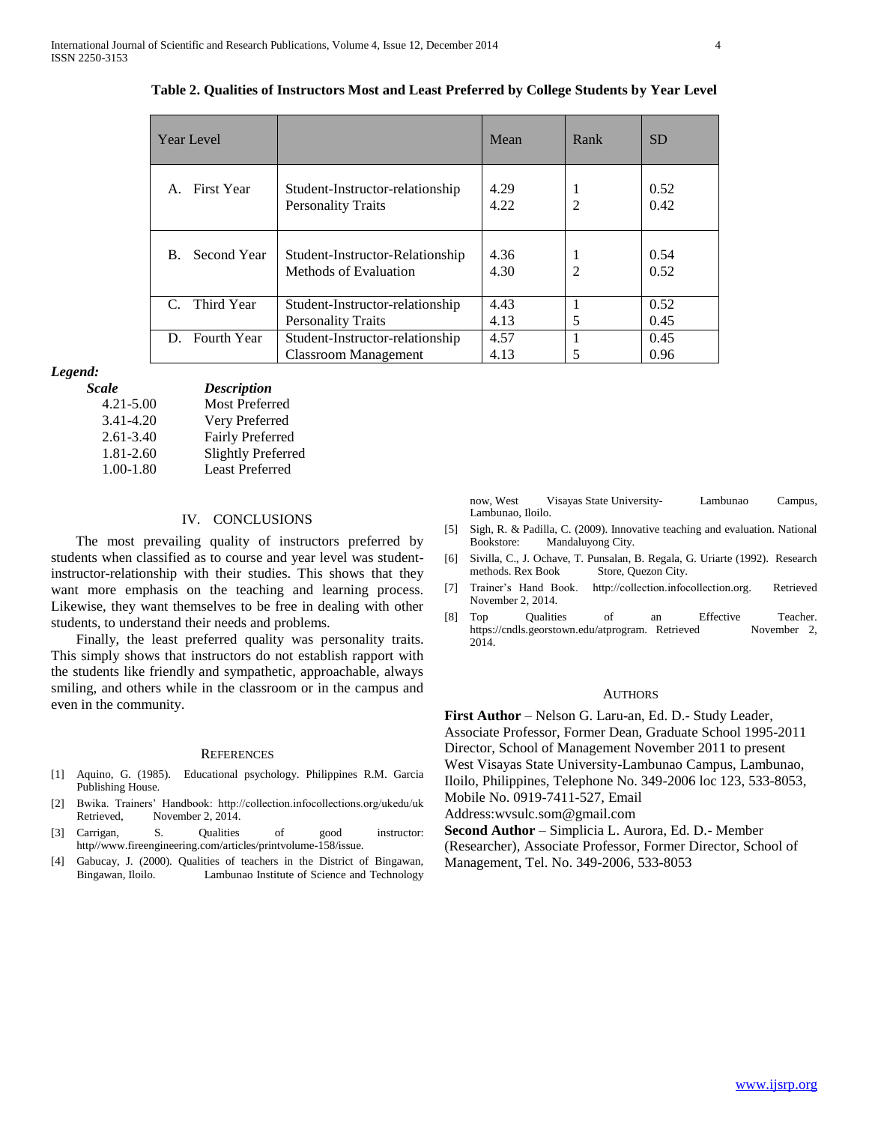| <b>Year Level</b> |                                                                | Mean         | Rank           | <b>SD</b>    |
|-------------------|----------------------------------------------------------------|--------------|----------------|--------------|
| First Year        | Student-Instructor-relationship<br><b>Personality Traits</b>   | 4.29<br>4.22 | $\mathfrak{D}$ | 0.52<br>0.42 |
| Second Year<br>B. | Student-Instructor-Relationship<br>Methods of Evaluation       | 4.36<br>4.30 | $\mathfrak{D}$ | 0.54<br>0.52 |
| Third Year        | Student-Instructor-relationship<br><b>Personality Traits</b>   | 4.43<br>4.13 | 5              | 0.52<br>0.45 |
| D. Fourth Year    | Student-Instructor-relationship<br><b>Classroom Management</b> | 4.57<br>4.13 |                | 0.45<br>0.96 |

**Table 2. Qualities of Instructors Most and Least Preferred by College Students by Year Level**

#### *Legend:*

| <b>Scale</b>  | <b>Description</b>        |
|---------------|---------------------------|
| $4.21 - 5.00$ | <b>Most Preferred</b>     |
| 3.41-4.20     | Very Preferred            |
| $2.61 - 3.40$ | <b>Fairly Preferred</b>   |
| 1.81-2.60     | <b>Slightly Preferred</b> |
| $1.00 - 1.80$ | <b>Least Preferred</b>    |

## IV. CONCLUSIONS

 The most prevailing quality of instructors preferred by students when classified as to course and year level was studentinstructor-relationship with their studies. This shows that they want more emphasis on the teaching and learning process. Likewise, they want themselves to be free in dealing with other students, to understand their needs and problems.

 Finally, the least preferred quality was personality traits. This simply shows that instructors do not establish rapport with the students like friendly and sympathetic, approachable, always smiling, and others while in the classroom or in the campus and even in the community.

#### **REFERENCES**

- [1] Aquino, G. (1985). Educational psychology. Philippines R.M. Garcia Publishing House.
- [2] Bwika. Trainers' Handbook: http://collection.infocollections.org/ukedu/uk Retrieved, November 2, 2014.
- [3] Carrigan, S. Qualities of good instructor: http//www.fireengineering.com/articles/printvolume-158/issue.
- [4] Gabucay, J. (2000). Qualities of teachers in the District of Bingawan, Bingawan, Iloilo. Lambunao Institute of Science and Technology

now, West Visayas State University- Lambunao Campus, Lambunao, Iloilo.

- [5] Sigh, R. & Padilla, C. (2009). Innovative teaching and evaluation. National Bookstore: Mandaluyong City.
- [6] Sivilla, C., J. Ochave, T. Punsalan, B. Regala, G. Uriarte (1992). Research methods. Rex Book Store, Quezon City.
- [7] Trainer's Hand Book. http://collection.infocollection.org. Retrieved November 2, 2014.
- [8] Top Qualities of an Effective Teacher.<br>https://cndls.georstown.edu/atprogram. Retrieved November 2, https://cndls.georstown.edu/atprogram. Retrieved 2014.

#### **AUTHORS**

**First Author** – Nelson G. Laru-an, Ed. D.- Study Leader, Associate Professor, Former Dean, Graduate School 1995-2011 Director, School of Management November 2011 to present West Visayas State University-Lambunao Campus, Lambunao, Iloilo, Philippines, Telephone No. 349-2006 loc 123, 533-8053, Mobile No. 0919-7411-527, Email Address:wvsulc.som@gmail.com

**Second Author** – Simplicia L. Aurora, Ed. D.- Member (Researcher), Associate Professor, Former Director, School of

Management, Tel. No. 349-2006, 533-8053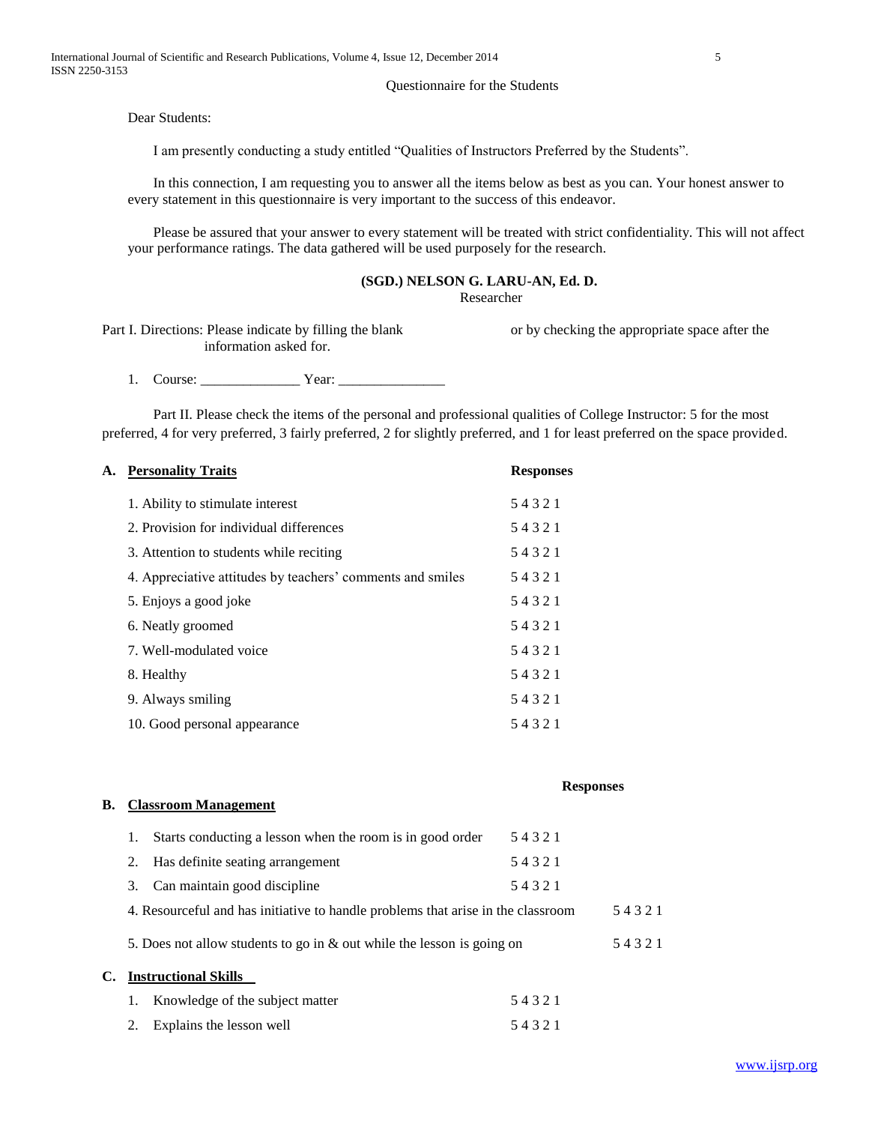### Questionnaire for the Students

Dear Students:

I am presently conducting a study entitled "Qualities of Instructors Preferred by the Students".

In this connection, I am requesting you to answer all the items below as best as you can. Your honest answer to every statement in this questionnaire is very important to the success of this endeavor.

Please be assured that your answer to every statement will be treated with strict confidentiality. This will not affect your performance ratings. The data gathered will be used purposely for the research.

## **(SGD.) NELSON G. LARU-AN, Ed. D.**

Researcher

Part I. Directions: Please indicate by filling the blank or by checking the appropriate space after the information asked for.

1. Course: \_\_\_\_\_\_\_\_\_\_\_\_\_\_ Year: \_\_\_\_\_\_\_\_\_\_\_\_\_\_\_

Part II. Please check the items of the personal and professional qualities of College Instructor: 5 for the most preferred, 4 for very preferred, 3 fairly preferred, 2 for slightly preferred, and 1 for least preferred on the space provided.

#### **A. Personality Traits Responses**

| 1. Ability to stimulate interest                           | 54321 |
|------------------------------------------------------------|-------|
| 2. Provision for individual differences                    | 54321 |
| 3. Attention to students while reciting                    | 54321 |
| 4. Appreciative attitudes by teachers' comments and smiles | 54321 |
| 5. Enjoys a good joke                                      | 54321 |
| 6. Neatly groomed                                          | 54321 |
| 7. Well-modulated voice                                    | 54321 |
| 8. Healthy                                                 | 54321 |
| 9. Always smiling                                          | 54321 |
| 10. Good personal appearance                               | 54321 |

## **Responses**

## **B. Classroom Management**

|    |    | Starts conducting a lesson when the room is in good order                        | 54321 |       |
|----|----|----------------------------------------------------------------------------------|-------|-------|
|    | 2. | Has definite seating arrangement                                                 | 54321 |       |
|    | 3. | Can maintain good discipline                                                     | 54321 |       |
|    |    | 4. Resourceful and has initiative to handle problems that arise in the classroom |       | 54321 |
|    |    | 5. Does not allow students to go in $\&$ out while the lesson is going on        |       | 54321 |
| C. |    | <b>Instructional Skills</b>                                                      |       |       |
|    |    | Knowledge of the subject matter                                                  | 54321 |       |
|    |    | Explains the lesson well                                                         | 54321 |       |